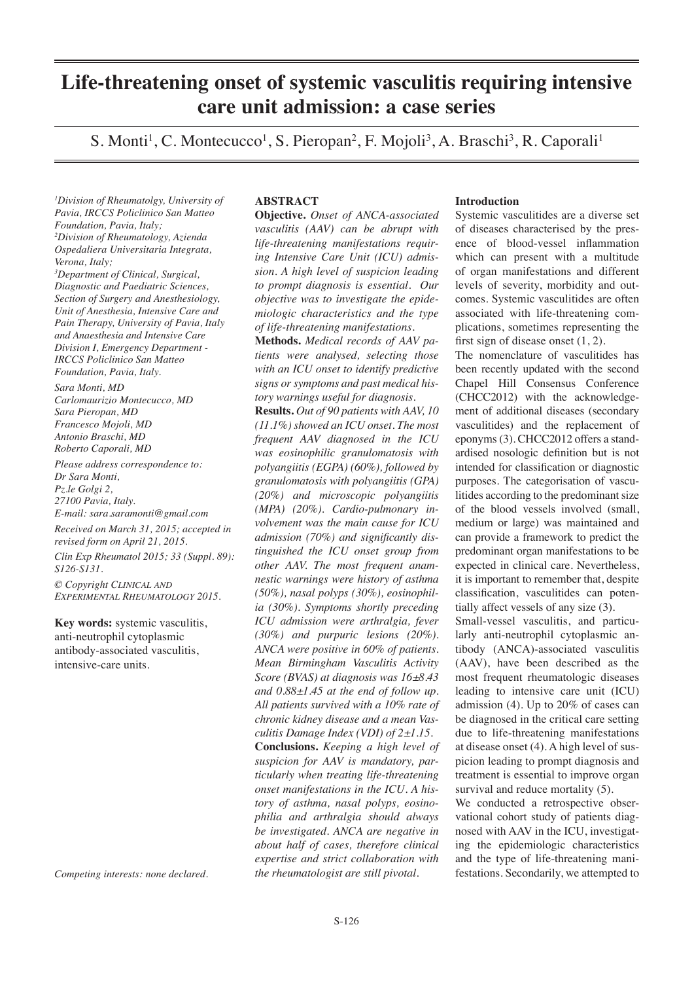# **Life-threatening onset of systemic vasculitis requiring intensive care unit admission: a case series**

S. Monti<sup>1</sup>, C. Montecucco<sup>1</sup>, S. Pieropan<sup>2</sup>, F. Mojoli<sup>3</sup>, A. Braschi<sup>3</sup>, R. Caporali<sup>1</sup>

*1 Division of Rheumatolgy, University of Pavia, IRCCS Policlinico San Matteo Foundation, Pavia, Italy; 2 Division of Rheumatology, Azienda Ospedaliera Universitaria Integrata, Verona, Italy; 3 Department of Clinical, Surgical, Diagnostic and Paediatric Sciences, Section of Surgery and Anesthesiology, Unit of Anesthesia, Intensive Care and* 

*Pain Therapy, University of Pavia, Italy and Anaesthesia and Intensive Care Division I, Emergency Department - IRCCS Policlinico San Matteo Foundation, Pavia, Italy.*

*Sara Monti, MD Carlomaurizio Montecucco, MD Sara Pieropan, MD Francesco Mojoli, MD Antonio Braschi, MD Roberto Caporali, MD*

*Please address correspondence to: Dr Sara Monti, Pz.le Golgi 2, 27100 Pavia, Italy. E-mail: sara.saramonti@gmail.com*

*Received on March 31, 2015; accepted in revised form on April 21, 2015.*

*Clin Exp Rheumatol 2015; 33 (Suppl. 89): S126-S131.*

*© Copyright Clinical and Experimental Rheumatology 2015.*

**Key words:** systemic vasculitis, anti-neutrophil cytoplasmic antibody-associated vasculitis, intensive-care units.

*Competing interests: none declared.*

# **ABSTRACT**

**Objective.** *Onset of ANCA-associated vasculitis (AAV) can be abrupt with life-threatening manifestations requiring Intensive Care Unit (ICU) admission. A high level of suspicion leading to prompt diagnosis is essential. Our objective was to investigate the epidemiologic characteristics and the type of life-threatening manifestations.* 

**Methods.** *Medical records of AAV patients were analysed, selecting those with an ICU onset to identify predictive signs or symptoms and past medical history warnings useful for diagnosis.* 

**Results.** *Out of 90 patients with AAV, 10 (11.1%) showed an ICU onset. The most frequent AAV diagnosed in the ICU was eosinophilic granulomatosis with polyangiitis (EGPA) (60%), followed by granulomatosis with polyangiitis (GPA) (20%) and microscopic polyangiitis (MPA) (20%). Cardio-pulmonary involvement was the main cause for ICU admission (70%) and significantly distinguished the ICU onset group from other AAV. The most frequent anamnestic warnings were history of asthma (50%), nasal polyps (30%), eosinophilia (30%). Symptoms shortly preceding ICU admission were arthralgia, fever (30%) and purpuric lesions (20%). ANCA were positive in 60% of patients. Mean Birmingham Vasculitis Activity Score (BVAS) at diagnosis was 16±8.43 and 0.88±1.45 at the end of follow up. All patients survived with a 10% rate of chronic kidney disease and a mean Vasculitis Damage Index (VDI) of 2±1.15.* **Conclusions.** *Keeping a high level of suspicion for AAV is mandatory, particularly when treating life-threatening onset manifestations in the ICU. A history of asthma, nasal polyps, eosinophilia and arthralgia should always be investigated. ANCA are negative in* 

# **Introduction**

Systemic vasculitides are a diverse set of diseases characterised by the presence of blood-vessel inflammation which can present with a multitude of organ manifestations and different levels of severity, morbidity and outcomes. Systemic vasculitides are often associated with life-threatening complications, sometimes representing the first sign of disease onset (1, 2).

The nomenclature of vasculitides has been recently updated with the second Chapel Hill Consensus Conference (CHCC2012) with the acknowledgement of additional diseases (secondary vasculitides) and the replacement of eponyms (3). CHCC2012 offers a standardised nosologic definition but is not intended for classification or diagnostic purposes. The categorisation of vasculitides according to the predominant size of the blood vessels involved (small, medium or large) was maintained and can provide a framework to predict the predominant organ manifestations to be expected in clinical care. Nevertheless, it is important to remember that, despite classification, vasculitides can potentially affect vessels of any size (3).

Small-vessel vasculitis, and particularly anti-neutrophil cytoplasmic antibody (ANCA)-associated vasculitis (AAV), have been described as the most frequent rheumatologic diseases leading to intensive care unit (ICU) admission (4). Up to 20% of cases can be diagnosed in the critical care setting due to life-threatening manifestations at disease onset (4). A high level of suspicion leading to prompt diagnosis and treatment is essential to improve organ survival and reduce mortality (5).

We conducted a retrospective observational cohort study of patients diagnosed with AAV in the ICU, investigating the epidemiologic characteristics and the type of life-threatening manifestations. Secondarily, we attempted to

*about half of cases, therefore clinical expertise and strict collaboration with the rheumatologist are still pivotal.*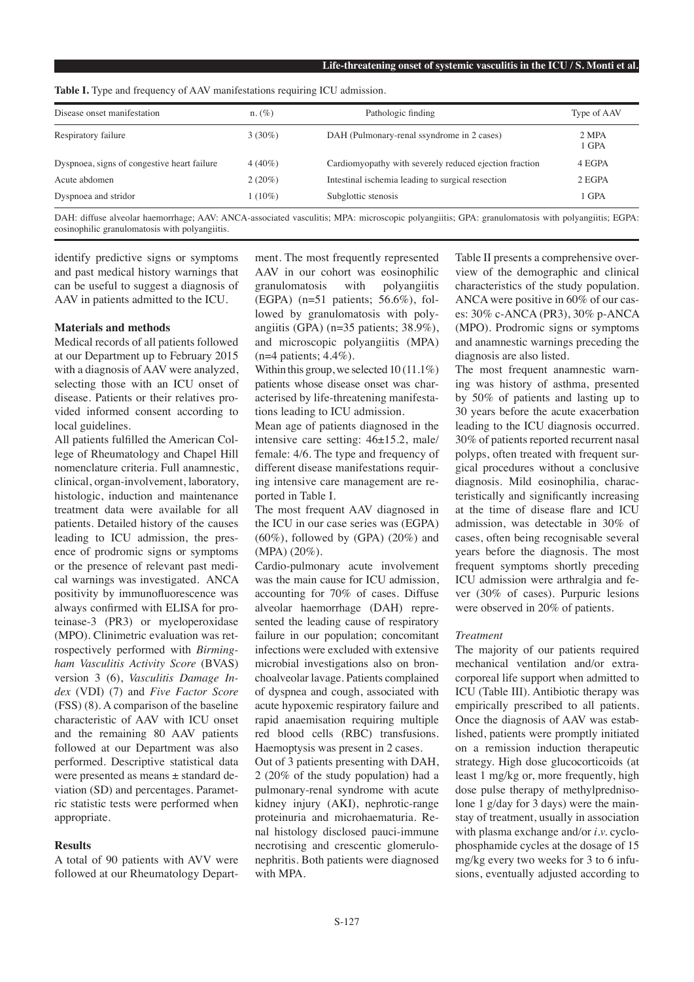|  |  |  | <b>Table I.</b> Type and frequency of AAV manifestations requiring ICU admission. |
|--|--|--|-----------------------------------------------------------------------------------|
|  |  |  |                                                                                   |

| Disease onset manifestation                 | $n.$ (%)  | Pathologic finding                                     | Type of AAV    |
|---------------------------------------------|-----------|--------------------------------------------------------|----------------|
| Respiratory failure                         | $3(30\%)$ | DAH (Pulmonary-renal ssyndrome in 2 cases)             | 2 MPA<br>1 GPA |
| Dyspnoea, signs of congestive heart failure | $4(40\%)$ | Cardiomyopathy with severely reduced ejection fraction | 4 EGPA         |
| Acute abdomen                               | $2(20\%)$ | Intestinal ischemia leading to surgical resection      | 2 EGPA         |
| Dyspnoea and stridor                        | $1(10\%)$ | Subglottic stenosis                                    | l GPA          |

DAH: diffuse alveolar haemorrhage; AAV: ANCA-associated vasculitis; MPA: microscopic polyangiitis; GPA: granulomatosis with polyangiitis; EGPA: eosinophilic granulomatosis with polyangiitis.

identify predictive signs or symptoms and past medical history warnings that can be useful to suggest a diagnosis of AAV in patients admitted to the ICU.

## **Materials and methods**

Medical records of all patients followed at our Department up to February 2015 with a diagnosis of AAV were analyzed, selecting those with an ICU onset of disease. Patients or their relatives provided informed consent according to local guidelines.

All patients fulfilled the American College of Rheumatology and Chapel Hill nomenclature criteria. Full anamnestic, clinical, organ-involvement, laboratory, histologic, induction and maintenance treatment data were available for all patients. Detailed history of the causes leading to ICU admission, the presence of prodromic signs or symptoms or the presence of relevant past medical warnings was investigated. ANCA positivity by immunofluorescence was always confirmed with ELISA for proteinase-3 (PR3) or myeloperoxidase (MPO). Clinimetric evaluation was retrospectively performed with *Birmingham Vasculitis Activity Score* (BVAS) version 3 (6), *Vasculitis Damage Index* (VDI) (7) and *Five Factor Score* (FSS) (8). A comparison of the baseline characteristic of AAV with ICU onset and the remaining 80 AAV patients followed at our Department was also performed. Descriptive statistical data were presented as means ± standard deviation (SD) and percentages. Parametric statistic tests were performed when appropriate.

## **Results**

A total of 90 patients with AVV were followed at our Rheumatology Department. The most frequently represented AAV in our cohort was eosinophilic granulomatosis with polyangiitis (EGPA) (n=51 patients; 56.6%), followed by granulomatosis with polyangiitis (GPA) (n=35 patients; 38.9%), and microscopic polyangiitis (MPA)  $(n=4$  patients;  $4.4\%$ ).

Within this group, we selected 10 (11.1%) patients whose disease onset was characterised by life-threatening manifestations leading to ICU admission.

Mean age of patients diagnosed in the intensive care setting: 46±15.2, male/ female: 4/6. The type and frequency of different disease manifestations requiring intensive care management are reported in Table I.

The most frequent AAV diagnosed in the ICU in our case series was (EGPA)  $(60\%)$ , followed by  $(GPA)$   $(20\%)$  and (MPA) (20%).

Cardio-pulmonary acute involvement was the main cause for ICU admission, accounting for 70% of cases. Diffuse alveolar haemorrhage (DAH) represented the leading cause of respiratory failure in our population; concomitant infections were excluded with extensive microbial investigations also on bronchoalveolar lavage. Patients complained of dyspnea and cough, associated with acute hypoxemic respiratory failure and rapid anaemisation requiring multiple red blood cells (RBC) transfusions. Haemoptysis was present in 2 cases.

Out of 3 patients presenting with DAH, 2 (20% of the study population) had a pulmonary-renal syndrome with acute kidney injury (AKI), nephrotic-range proteinuria and microhaematuria. Renal histology disclosed pauci-immune necrotising and crescentic glomerulonephritis. Both patients were diagnosed with MPA.

Table II presents a comprehensive overview of the demographic and clinical characteristics of the study population. ANCA were positive in 60% of our cases: 30% c-ANCA (PR3), 30% p-ANCA (MPO). Prodromic signs or symptoms and anamnestic warnings preceding the diagnosis are also listed.

The most frequent anamnestic warning was history of asthma, presented by 50% of patients and lasting up to 30 years before the acute exacerbation leading to the ICU diagnosis occurred. 30% of patients reported recurrent nasal polyps, often treated with frequent surgical procedures without a conclusive diagnosis. Mild eosinophilia, characteristically and significantly increasing at the time of disease flare and ICU admission, was detectable in 30% of cases, often being recognisable several years before the diagnosis. The most frequent symptoms shortly preceding ICU admission were arthralgia and fever (30% of cases). Purpuric lesions were observed in 20% of patients.

## *Treatment*

The majority of our patients required mechanical ventilation and/or extracorporeal life support when admitted to ICU (Table III). Antibiotic therapy was empirically prescribed to all patients. Once the diagnosis of AAV was established, patients were promptly initiated on a remission induction therapeutic strategy. High dose glucocorticoids (at least 1 mg/kg or, more frequently, high dose pulse therapy of methylprednisolone 1 g/day for 3 days) were the mainstay of treatment, usually in association with plasma exchange and/or *i.v.* cyclophosphamide cycles at the dosage of 15 mg/kg every two weeks for 3 to 6 infusions, eventually adjusted according to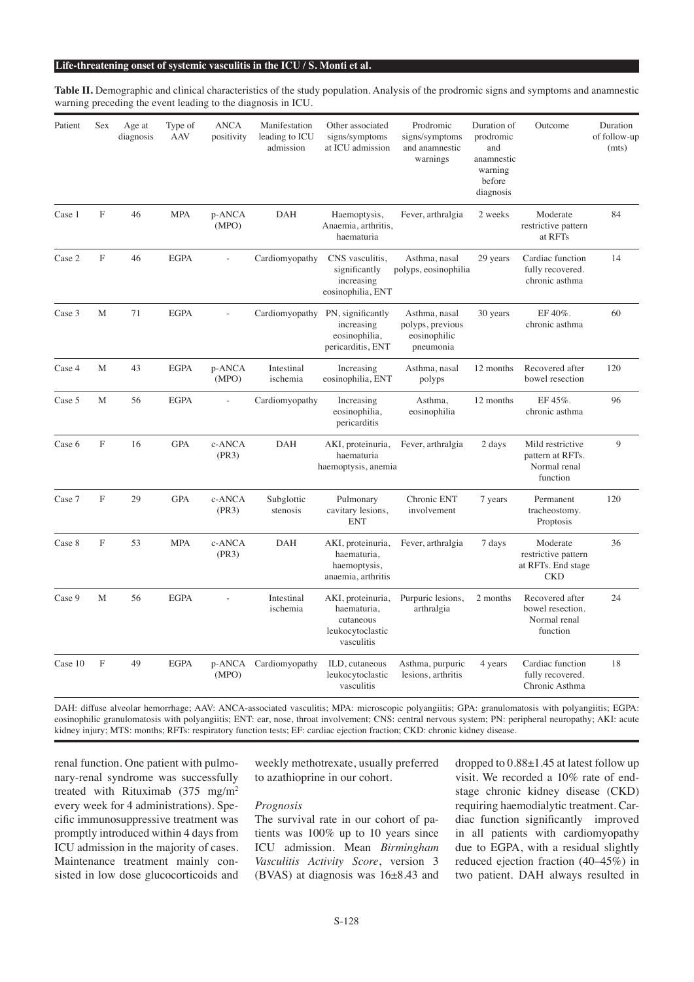#### **Life-threatening onset of systemic vasculitis in the ICU / S. Monti et al.**

**Table II.** Demographic and clinical characteristics of the study population. Analysis of the prodromic signs and symptoms and anamnestic warning preceding the event leading to the diagnosis in ICU.

| Patient | Sex            | Age at<br>diagnosis | Type of<br><b>AAV</b> | <b>ANCA</b><br>positivity | Manifestation<br>leading to ICU<br>admission | Other associated<br>signs/symptoms<br>at ICU admission                          | Prodromic<br>signs/symptoms<br>and anamnestic<br>warnings      | Duration of<br>prodromic<br>and<br>anamnestic<br>warning<br>before<br>diagnosis | Outcome                                                             | Duration<br>of follow-up<br>(mts) |
|---------|----------------|---------------------|-----------------------|---------------------------|----------------------------------------------|---------------------------------------------------------------------------------|----------------------------------------------------------------|---------------------------------------------------------------------------------|---------------------------------------------------------------------|-----------------------------------|
| Case 1  | $\overline{F}$ | 46                  | <b>MPA</b>            | p-ANCA<br>(MPO)           | <b>DAH</b>                                   | Haemoptysis,<br>Anaemia, arthritis,<br>haematuria                               | Fever, arthralgia                                              | 2 weeks                                                                         | Moderate<br>restrictive pattern<br>at RFTs                          | 84                                |
| Case 2  | $\overline{F}$ | 46                  | <b>EGPA</b>           |                           | Cardiomyopathy                               | CNS vasculitis,<br>significantly<br>increasing<br>eosinophilia, ENT             | Asthma, nasal<br>polyps, eosinophilia                          | 29 years                                                                        | Cardiac function<br>fully recovered.<br>chronic asthma              | 14                                |
| Case 3  | M              | 71                  | <b>EGPA</b>           |                           | Cardiomyopathy                               | PN, significantly<br>increasing<br>eosinophilia,<br>pericarditis, ENT           | Asthma, nasal<br>polyps, previous<br>eosinophilic<br>pneumonia | 30 years                                                                        | EF 40%.<br>chronic asthma                                           | 60                                |
| Case 4  | M              | 43                  | <b>EGPA</b>           | p-ANCA<br>(MPO)           | Intestinal<br>ischemia                       | Increasing<br>eosinophilia, ENT                                                 | Asthma, nasal<br>polyps                                        | 12 months                                                                       | Recovered after<br>bowel resection                                  | 120                               |
| Case 5  | M              | 56                  | <b>EGPA</b>           |                           | Cardiomyopathy                               | Increasing<br>eosinophilia,<br>pericarditis                                     | Asthma,<br>eosinophilia                                        | 12 months                                                                       | EF 45%.<br>chronic asthma                                           | 96                                |
| Case 6  | $\overline{F}$ | 16                  | <b>GPA</b>            | c-ANCA<br>(PR3)           | <b>DAH</b>                                   | AKI, proteinuria,<br>haematuria<br>haemoptysis, anemia                          | Fever, arthralgia                                              | 2 days                                                                          | Mild restrictive<br>pattern at RFTs.<br>Normal renal<br>function    | 9                                 |
| Case 7  | $\overline{F}$ | 29                  | <b>GPA</b>            | c-ANCA<br>(PR3)           | Subglottic<br>stenosis                       | Pulmonary<br>cavitary lesions,<br><b>ENT</b>                                    | Chronic ENT<br>involvement                                     | 7 years                                                                         | Permanent<br>tracheostomy.<br>Proptosis                             | 120                               |
| Case 8  | $_{\rm F}$     | 53                  | <b>MPA</b>            | c-ANCA<br>(PR3)           | <b>DAH</b>                                   | AKI, proteinuria,<br>haematuria,<br>haemoptysis,<br>anaemia, arthritis          | Fever, arthralgia                                              | 7 days                                                                          | Moderate<br>restrictive pattern<br>at RFTs. End stage<br><b>CKD</b> | 36                                |
| Case 9  | M              | 56                  | <b>EGPA</b>           |                           | Intestinal<br>ischemia                       | AKI, proteinuria,<br>haematuria,<br>cutaneous<br>leukocytoclastic<br>vasculitis | Purpuric lesions,<br>arthralgia                                | 2 months                                                                        | Recovered after<br>bowel resection.<br>Normal renal<br>function     | 24                                |
| Case 10 | F              | 49                  | <b>EGPA</b>           | p-ANCA<br>(MPO)           | Cardiomyopathy                               | ILD, cutaneous<br>leukocytoclastic<br>vasculitis                                | Asthma, purpuric<br>lesions, arthritis                         | 4 years                                                                         | Cardiac function<br>fully recovered.<br>Chronic Asthma              | 18                                |

DAH: diffuse alveolar hemorrhage; AAV: ANCA-associated vasculitis; MPA: microscopic polyangiitis; GPA: granulomatosis with polyangiitis; EGPA: eosinophilic granulomatosis with polyangiitis; ENT: ear, nose, throat involvement; CNS: central nervous system; PN: peripheral neuropathy; AKI: acute kidney injury; MTS: months; RFTs: respiratory function tests; EF: cardiac ejection fraction; CKD: chronic kidney disease.

renal function. One patient with pulmonary-renal syndrome was successfully treated with Rituximab (375 mg/m<sup>2</sup> every week for 4 administrations). Specific immunosuppressive treatment was promptly introduced within 4 days from ICU admission in the majority of cases. Maintenance treatment mainly consisted in low dose glucocorticoids and weekly methotrexate, usually preferred to azathioprine in our cohort.

## *Prognosis*

The survival rate in our cohort of patients was 100% up to 10 years since ICU admission. Mean *Birmingham Vasculitis Activity Score*, version 3 (BVAS) at diagnosis was 16±8.43 and

dropped to 0.88±1.45 at latest follow up visit. We recorded a 10% rate of endstage chronic kidney disease (CKD) requiring haemodialytic treatment. Cardiac function significantly improved in all patients with cardiomyopathy due to EGPA, with a residual slightly reduced ejection fraction (40–45%) in two patient. DAH always resulted in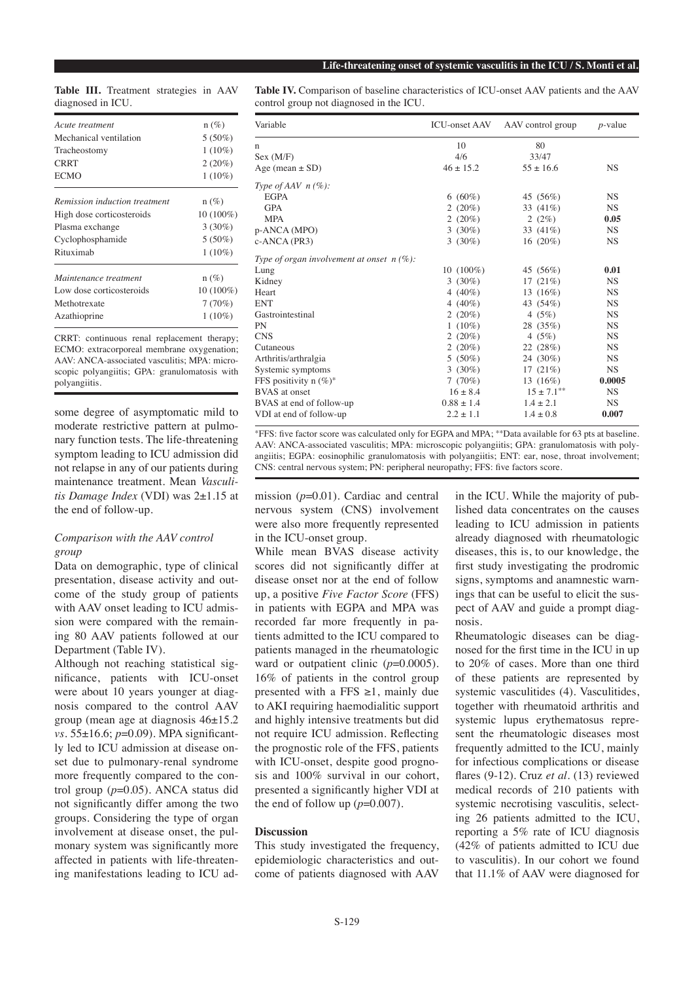**Table III.** Treatment strategies in AAV diagnosed in ICU.

| Acute treatment               | $n (\%)$    |
|-------------------------------|-------------|
| Mechanical ventilation        | $5(50\%)$   |
| Tracheostomy                  | $1(10\%)$   |
| <b>CRRT</b>                   | $2(20\%)$   |
| <b>ECMO</b>                   | $1(10\%)$   |
| Remission induction treatment | $n (\%)$    |
| High dose corticosteroids     | $10(100\%)$ |
| Plasma exchange               | $3(30\%)$   |
| Cyclophosphamide              | $5(50\%)$   |
| Rituximab                     | $1(10\%)$   |
| Maintenance treatment         | $n(\%)$     |
| Low dose corticosteroids      | $10(100\%)$ |
| Methotrexate                  | 7(70%)      |
| Azathioprine                  | $1(10\%)$   |

CRRT: continuous renal replacement therapy; ECMO: extracorporeal membrane oxygenation; AAV: ANCA-associated vasculitis; MPA: microscopic polyangiitis; GPA: granulomatosis with polyangiitis.

some degree of asymptomatic mild to moderate restrictive pattern at pulmonary function tests. The life-threatening symptom leading to ICU admission did not relapse in any of our patients during maintenance treatment. Mean *Vasculitis Damage Index* (VDI) was 2±1.15 at the end of follow-up.

## *Comparison with the AAV control group*

Data on demographic, type of clinical presentation, disease activity and outcome of the study group of patients with AAV onset leading to ICU admission were compared with the remaining 80 AAV patients followed at our Department (Table IV).

Although not reaching statistical significance, patients with ICU-onset were about 10 years younger at diagnosis compared to the control AAV group (mean age at diagnosis 46±15.2 *vs.* 55±16.6; *p*=0.09). MPA significantly led to ICU admission at disease onset due to pulmonary-renal syndrome more frequently compared to the control group (*p*=0.05). ANCA status did not significantly differ among the two groups. Considering the type of organ involvement at disease onset, the pulmonary system was significantly more affected in patients with life-threatening manifestations leading to ICU ad**Table IV.** Comparison of baseline characteristics of ICU-onset AAV patients and the AAV control group not diagnosed in the ICU.

| Variable                                     | <b>ICU-onset AAV</b> | AAV control group | $p$ -value |
|----------------------------------------------|----------------------|-------------------|------------|
| n                                            | 10                   | 80                |            |
| Sex (M/F)                                    | 4/6                  | 33/47             |            |
| Age (mean $\pm$ SD)                          | $46 + 15.2$          | $55 \pm 16.6$     | <b>NS</b>  |
| Type of AAV $n(\%)$ :                        |                      |                   |            |
| <b>EGPA</b>                                  | 6 $(60\%)$           | 45 (56%)          | <b>NS</b>  |
| <b>GPA</b>                                   | 2 $(20\%)$           | 33 (41%)          | <b>NS</b>  |
| <b>MPA</b>                                   | 2 $(20\%)$           | 2(2%)             | 0.05       |
| p-ANCA (MPO)                                 | 3 $(30\%)$           | 33 $(41\%)$       | <b>NS</b>  |
| $c-ANCA (PR3)$                               | 3 $(30\%)$           | 16 $(20\%)$       | <b>NS</b>  |
| Type of organ involvement at onset $n(\%)$ : |                      |                   |            |
| Lung                                         | $10(100\%)$          | 45 (56%)          | 0.01       |
| Kidney                                       | 3 $(30\%)$           | 17(21%)           | <b>NS</b>  |
| Heart                                        | 4 $(40\%)$           | 13 $(16%)$        | <b>NS</b>  |
| <b>ENT</b>                                   | 4 $(40\%)$           | 43 (54%)          | <b>NS</b>  |
| Gastrointestinal                             | 2 $(20\%)$           | 4 $(5%)$          | <b>NS</b>  |
| <b>PN</b>                                    | 1 $(10\%)$           | 28 (35%)          | <b>NS</b>  |
| <b>CNS</b>                                   | 2 $(20\%)$           | 4 $(5%)$          | <b>NS</b>  |
| Cutaneous                                    | 2 $(20\%)$           | 22(28%)           | <b>NS</b>  |
| Arthritis/arthralgia                         | $5(50\%)$            | 24 (30%)          | <b>NS</b>  |
| Systemic symptoms                            | 3 $(30\%)$           | 17(21%)           | <b>NS</b>  |
| FFS positivity n $(\%)^*$                    | 7(70%)               | 13 $(16%)$        | 0.0005     |
| <b>BVAS</b> at onset                         | $16 + 8.4$           | $15 + 7.1$ **     | <b>NS</b>  |
| BVAS at end of follow-up                     | $0.88 \pm 1.4$       | $1.4 + 2.1$       | <b>NS</b>  |
| VDI at end of follow-up                      | $2.2 \pm 1.1$        | $1.4 + 0.8$       | 0.007      |

\*FFS: five factor score was calculated only for EGPA and MPA; \*\*Data available for 63 pts at baseline. AAV: ANCA-associated vasculitis; MPA: microscopic polyangiitis; GPA: granulomatosis with polyangiitis; EGPA: eosinophilic granulomatosis with polyangiitis; ENT: ear, nose, throat involvement; CNS: central nervous system; PN: peripheral neuropathy; FFS: five factors score.

mission (*p*=0.01). Cardiac and central nervous system (CNS) involvement were also more frequently represented in the ICU-onset group.

While mean BVAS disease activity scores did not significantly differ at disease onset nor at the end of follow up, a positive *Five Factor Score* (FFS) in patients with EGPA and MPA was recorded far more frequently in patients admitted to the ICU compared to patients managed in the rheumatologic ward or outpatient clinic ( $p=0.0005$ ). 16% of patients in the control group presented with a FFS  $\geq 1$ , mainly due to AKI requiring haemodialitic support and highly intensive treatments but did not require ICU admission. Reflecting the prognostic role of the FFS, patients with ICU-onset, despite good prognosis and 100% survival in our cohort, presented a significantly higher VDI at the end of follow up  $(p=0.007)$ .

## **Discussion**

This study investigated the frequency, epidemiologic characteristics and outcome of patients diagnosed with AAV

in the ICU. While the majority of published data concentrates on the causes leading to ICU admission in patients already diagnosed with rheumatologic diseases, this is, to our knowledge, the first study investigating the prodromic signs, symptoms and anamnestic warnings that can be useful to elicit the suspect of AAV and guide a prompt diagnosis.

Rheumatologic diseases can be diagnosed for the first time in the ICU in up to 20% of cases. More than one third of these patients are represented by systemic vasculitides (4). Vasculitides, together with rheumatoid arthritis and systemic lupus erythematosus represent the rheumatologic diseases most frequently admitted to the ICU, mainly for infectious complications or disease flares (9-12). Cruz et al. (13) reviewed medical records of 210 patients with systemic necrotising vasculitis, selecting 26 patients admitted to the ICU, reporting a 5% rate of ICU diagnosis (42% of patients admitted to ICU due to vasculitis). In our cohort we found that 11.1% of AAV were diagnosed for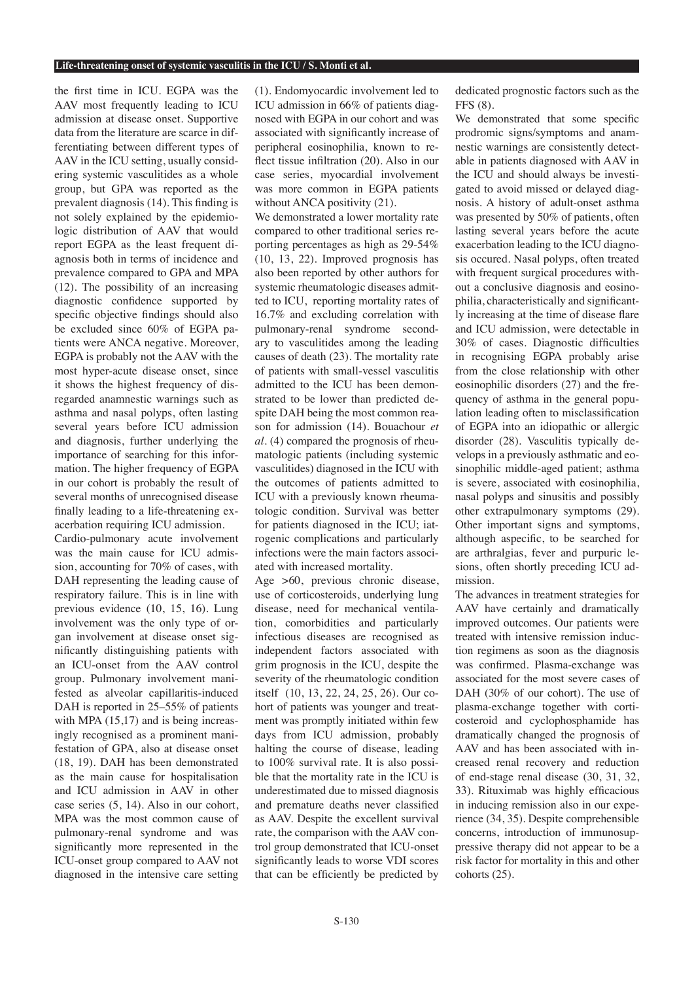#### **Life-threatening onset of systemic vasculitis in the ICU / S. Monti et al.**

the first time in ICU. EGPA was the AAV most frequently leading to ICU admission at disease onset. Supportive data from the literature are scarce in differentiating between different types of AAV in the ICU setting, usually considering systemic vasculitides as a whole group, but GPA was reported as the prevalent diagnosis (14). This finding is not solely explained by the epidemiologic distribution of AAV that would report EGPA as the least frequent diagnosis both in terms of incidence and prevalence compared to GPA and MPA (12). The possibility of an increasing diagnostic confidence supported by specific objective findings should also be excluded since 60% of EGPA patients were ANCA negative. Moreover, EGPA is probably not the AAV with the most hyper-acute disease onset, since it shows the highest frequency of disregarded anamnestic warnings such as asthma and nasal polyps, often lasting several years before ICU admission and diagnosis, further underlying the importance of searching for this information. The higher frequency of EGPA in our cohort is probably the result of several months of unrecognised disease finally leading to a life-threatening exacerbation requiring ICU admission.

Cardio-pulmonary acute involvement was the main cause for ICU admission, accounting for 70% of cases, with DAH representing the leading cause of respiratory failure. This is in line with previous evidence (10, 15, 16). Lung involvement was the only type of organ involvement at disease onset significantly distinguishing patients with an ICU-onset from the AAV control group. Pulmonary involvement manifested as alveolar capillaritis-induced DAH is reported in 25–55% of patients with MPA (15,17) and is being increasingly recognised as a prominent manifestation of GPA, also at disease onset (18, 19). DAH has been demonstrated as the main cause for hospitalisation and ICU admission in AAV in other case series (5, 14). Also in our cohort, MPA was the most common cause of pulmonary-renal syndrome and was significantly more represented in the ICU-onset group compared to AAV not diagnosed in the intensive care setting

(1). Endomyocardic involvement led to ICU admission in 66% of patients diagnosed with EGPA in our cohort and was associated with significantly increase of peripheral eosinophilia, known to reflect tissue infiltration (20). Also in our case series, myocardial involvement was more common in EGPA patients without ANCA positivity (21).

We demonstrated a lower mortality rate compared to other traditional series reporting percentages as high as 29-54% (10, 13, 22). Improved prognosis has also been reported by other authors for systemic rheumatologic diseases admitted to ICU, reporting mortality rates of 16.7% and excluding correlation with pulmonary-renal syndrome secondary to vasculitides among the leading causes of death (23). The mortality rate of patients with small-vessel vasculitis admitted to the ICU has been demonstrated to be lower than predicted despite DAH being the most common reason for admission (14). Bouachour *et al.* (4) compared the prognosis of rheumatologic patients (including systemic vasculitides) diagnosed in the ICU with the outcomes of patients admitted to ICU with a previously known rheumatologic condition. Survival was better for patients diagnosed in the ICU; iatrogenic complications and particularly infections were the main factors associated with increased mortality.

Age >60, previous chronic disease, use of corticosteroids, underlying lung disease, need for mechanical ventilation, comorbidities and particularly infectious diseases are recognised as independent factors associated with grim prognosis in the ICU, despite the severity of the rheumatologic condition itself (10, 13, 22, 24, 25, 26). Our cohort of patients was younger and treatment was promptly initiated within few days from ICU admission, probably halting the course of disease, leading to 100% survival rate. It is also possible that the mortality rate in the ICU is underestimated due to missed diagnosis and premature deaths never classified as AAV. Despite the excellent survival rate, the comparison with the AAV control group demonstrated that ICU-onset significantly leads to worse VDI scores that can be efficiently be predicted by dedicated prognostic factors such as the FFS (8).

We demonstrated that some specific prodromic signs/symptoms and anamnestic warnings are consistently detectable in patients diagnosed with AAV in the ICU and should always be investigated to avoid missed or delayed diagnosis. A history of adult-onset asthma was presented by 50% of patients, often lasting several years before the acute exacerbation leading to the ICU diagnosis occured. Nasal polyps, often treated with frequent surgical procedures without a conclusive diagnosis and eosinophilia, characteristically and significantly increasing at the time of disease flare and ICU admission, were detectable in 30% of cases. Diagnostic difficulties in recognising EGPA probably arise from the close relationship with other eosinophilic disorders (27) and the frequency of asthma in the general population leading often to misclassification of EGPA into an idiopathic or allergic disorder (28). Vasculitis typically develops in a previously asthmatic and eosinophilic middle-aged patient; asthma is severe, associated with eosinophilia, nasal polyps and sinusitis and possibly other extrapulmonary symptoms (29). Other important signs and symptoms, although aspecific, to be searched for are arthralgias, fever and purpuric lesions, often shortly preceding ICU admission.

The advances in treatment strategies for AAV have certainly and dramatically improved outcomes. Our patients were treated with intensive remission induction regimens as soon as the diagnosis was confirmed. Plasma-exchange was associated for the most severe cases of DAH (30% of our cohort). The use of plasma-exchange together with corticosteroid and cyclophosphamide has dramatically changed the prognosis of AAV and has been associated with increased renal recovery and reduction of end-stage renal disease (30, 31, 32, 33). Rituximab was highly efficacious in inducing remission also in our experience (34, 35). Despite comprehensible concerns, introduction of immunosuppressive therapy did not appear to be a risk factor for mortality in this and other cohorts (25).